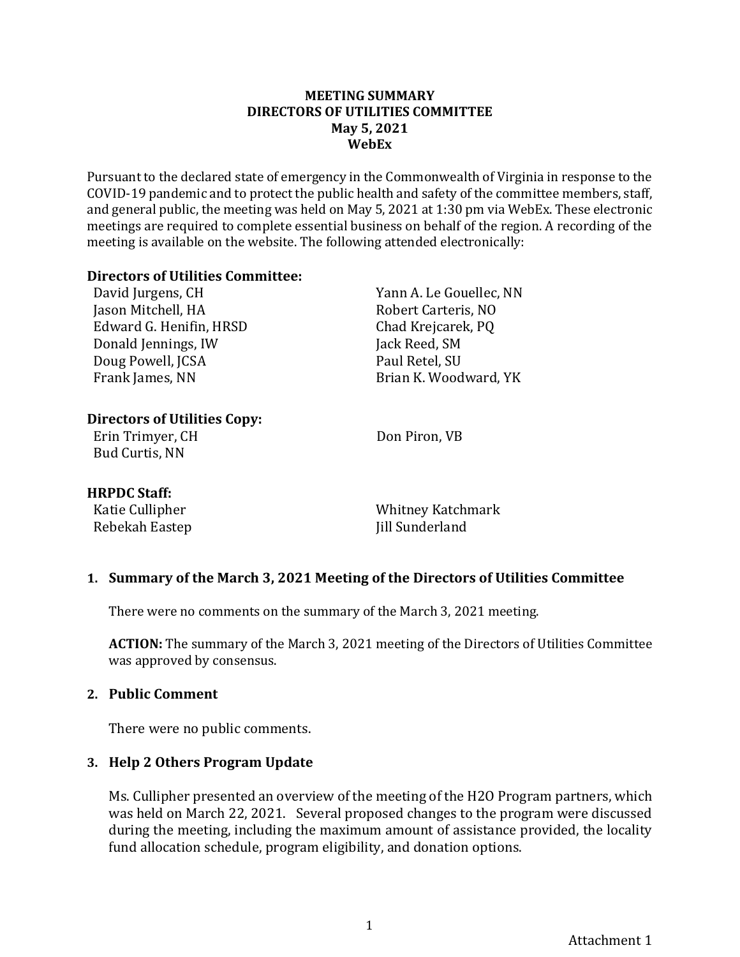#### **MEETING SUMMARY DIRECTORS OF UTILITIES COMMITTEE May 5, 2021 WebEx**

Pursuant to the declared state of emergency in the Commonwealth of Virginia in response to the COVID-19 pandemic and to protect the public health and safety of the committee members, staff, and general public, the meeting was held on May 5, 2021 at 1:30 pm via WebEx. These electronic meetings are required to complete essential business on behalf of the region. A recording of the meeting is available on the website. The following attended electronically:

#### **Directors of Utilities Committee:**

David Jurgens, CH Jason Mitchell, HA Edward G. Henifin, HRSD Donald Jennings, IW Doug Powell, JCSA Frank James, NN

Yann A. Le Gouellec, NN Robert Carteris, NO Chad Krejcarek, PQ Jack Reed, SM Paul Retel, SU Brian K. Woodward, YK

### **Directors of Utilities Copy:**

Erin Trimyer, CH Bud Curtis, NN

Don Piron, VB

### **HRPDC Staff:**

Katie Cullipher Rebekah Eastep

Whitney Katchmark Jill Sunderland

### **1. Summary of the March 3, 2021 Meeting of the Directors of Utilities Committee**

There were no comments on the summary of the March 3, 2021 meeting.

**ACTION:** The summary of the March 3, 2021 meeting of the Directors of Utilities Committee was approved by consensus.

### **2. Public Comment**

There were no public comments.

### **3. Help 2 Others Program Update**

Ms. Cullipher presented an overview of the meeting of the H2O Program partners, which was held on March 22, 2021. Several proposed changes to the program were discussed during the meeting, including the maximum amount of assistance provided, the locality fund allocation schedule, program eligibility, and donation options.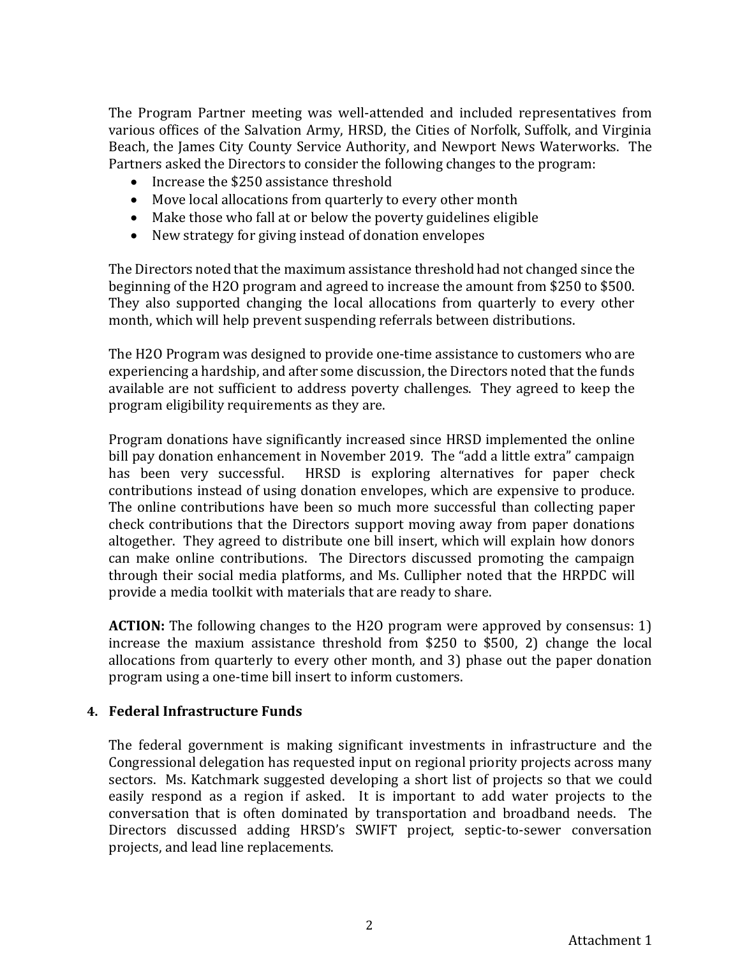The Program Partner meeting was well-attended and included representatives from various offices of the Salvation Army, HRSD, the Cities of Norfolk, Suffolk, and Virginia Beach, the James City County Service Authority, and Newport News Waterworks. The Partners asked the Directors to consider the following changes to the program:

- Increase the \$250 assistance threshold
- Move local allocations from quarterly to every other month
- Make those who fall at or below the poverty guidelines eligible
- New strategy for giving instead of donation envelopes

The Directors noted that the maximum assistance threshold had not changed since the beginning of the H2O program and agreed to increase the amount from \$250 to \$500. They also supported changing the local allocations from quarterly to every other month, which will help prevent suspending referrals between distributions.

The H2O Program was designed to provide one-time assistance to customers who are experiencing a hardship, and after some discussion, the Directors noted that the funds available are not sufficient to address poverty challenges. They agreed to keep the program eligibility requirements as they are.

Program donations have significantly increased since HRSD implemented the online bill pay donation enhancement in November 2019. The "add a little extra" campaign has been very successful. HRSD is exploring alternatives for paper check contributions instead of using donation envelopes, which are expensive to produce. The online contributions have been so much more successful than collecting paper check contributions that the Directors support moving away from paper donations altogether. They agreed to distribute one bill insert, which will explain how donors can make online contributions. The Directors discussed promoting the campaign through their social media platforms, and Ms. Cullipher noted that the HRPDC will provide a media toolkit with materials that are ready to share.

**ACTION:** The following changes to the H2O program were approved by consensus: 1) increase the maxium assistance threshold from \$250 to \$500, 2) change the local allocations from quarterly to every other month, and 3) phase out the paper donation program using a one-time bill insert to inform customers.

### **4. Federal Infrastructure Funds**

The federal government is making significant investments in infrastructure and the Congressional delegation has requested input on regional priority projects across many sectors. Ms. Katchmark suggested developing a short list of projects so that we could easily respond as a region if asked. It is important to add water projects to the conversation that is often dominated by transportation and broadband needs. The Directors discussed adding HRSD's SWIFT project, septic-to-sewer conversation projects, and lead line replacements.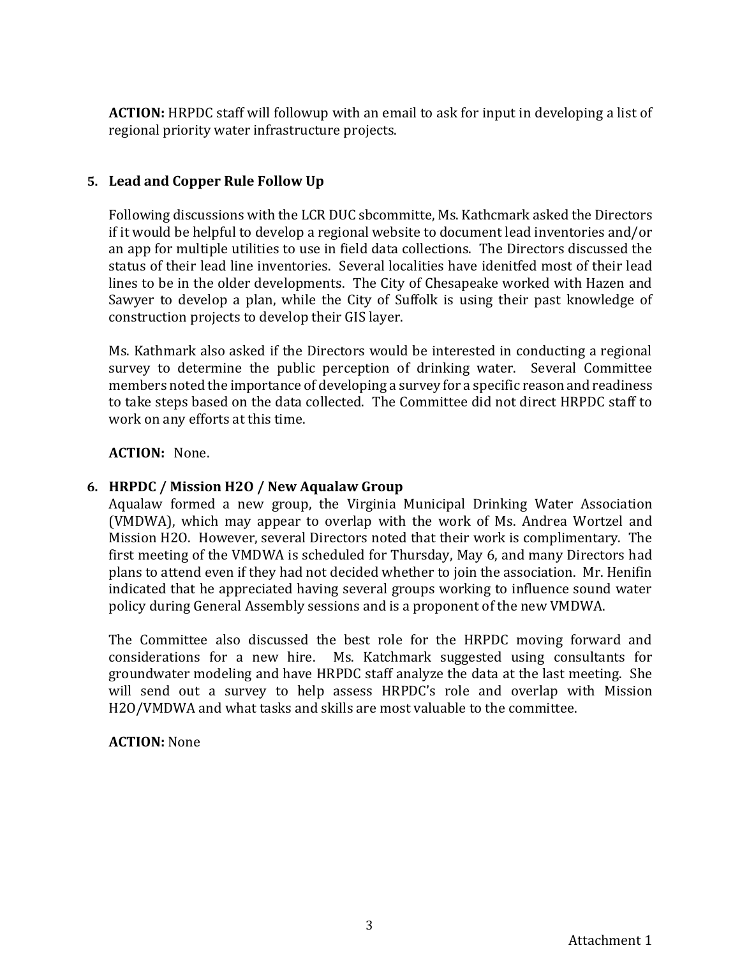**ACTION:** HRPDC staff will followup with an email to ask for input in developing a list of regional priority water infrastructure projects.

# **5. Lead and Copper Rule Follow Up**

Following discussions with the LCR DUC sbcommitte, Ms. Kathcmark asked the Directors if it would be helpful to develop a regional website to document lead inventories and/or an app for multiple utilities to use in field data collections. The Directors discussed the status of their lead line inventories. Several localities have idenitfed most of their lead lines to be in the older developments. The City of Chesapeake worked with Hazen and Sawyer to develop a plan, while the City of Suffolk is using their past knowledge of construction projects to develop their GIS layer.

Ms. Kathmark also asked if the Directors would be interested in conducting a regional survey to determine the public perception of drinking water. Several Committee members noted the importance of developing a survey for a specific reason and readiness to take steps based on the data collected. The Committee did not direct HRPDC staff to work on any efforts at this time.

### **ACTION:** None.

## **6. HRPDC / Mission H2O / New Aqualaw Group**

Aqualaw formed a new group, the Virginia Municipal Drinking Water Association (VMDWA), which may appear to overlap with the work of Ms. Andrea Wortzel and Mission H2O. However, several Directors noted that their work is complimentary. The first meeting of the VMDWA is scheduled for Thursday, May 6, and many Directors had plans to attend even if they had not decided whether to join the association. Mr. Henifin indicated that he appreciated having several groups working to influence sound water policy during General Assembly sessions and is a proponent of the new VMDWA.

The Committee also discussed the best role for the HRPDC moving forward and considerations for a new hire. Ms. Katchmark suggested using consultants for groundwater modeling and have HRPDC staff analyze the data at the last meeting. She will send out a survey to help assess HRPDC's role and overlap with Mission H2O/VMDWA and what tasks and skills are most valuable to the committee.

### **ACTION:** None